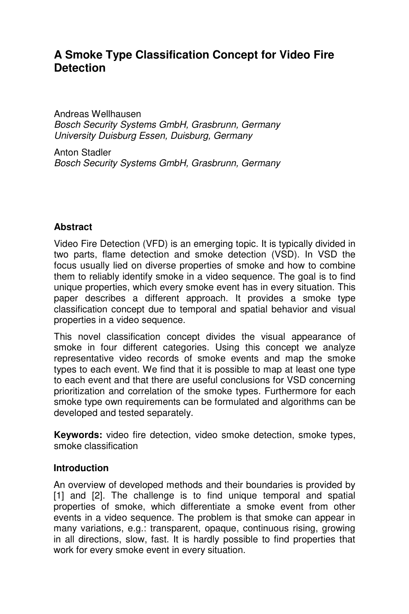# **A Smoke Type Classification Concept for Video Fire Detection**

Andreas Wellhausen Bosch Security Systems GmbH, Grasbrunn, Germany University Duisburg Essen, Duisburg, Germany

Anton Stadler Bosch Security Systems GmbH, Grasbrunn, Germany

# **Abstract**

Video Fire Detection (VFD) is an emerging topic. It is typically divided in two parts, flame detection and smoke detection (VSD). In VSD the focus usually lied on diverse properties of smoke and how to combine them to reliably identify smoke in a video sequence. The goal is to find unique properties, which every smoke event has in every situation. This paper describes a different approach. It provides a smoke type classification concept due to temporal and spatial behavior and visual properties in a video sequence.

This novel classification concept divides the visual appearance of smoke in four different categories. Using this concept we analyze representative video records of smoke events and map the smoke types to each event. We find that it is possible to map at least one type to each event and that there are useful conclusions for VSD concerning prioritization and correlation of the smoke types. Furthermore for each smoke type own requirements can be formulated and algorithms can be developed and tested separately.

**Keywords:** video fire detection, video smoke detection, smoke types, smoke classification

#### **Introduction**

An overview of developed methods and their boundaries is provided by [1] and [2]. The challenge is to find unique temporal and spatial properties of smoke, which differentiate a smoke event from other events in a video sequence. The problem is that smoke can appear in many variations, e.g.: transparent, opaque, continuous rising, growing in all directions, slow, fast. It is hardly possible to find properties that work for every smoke event in every situation.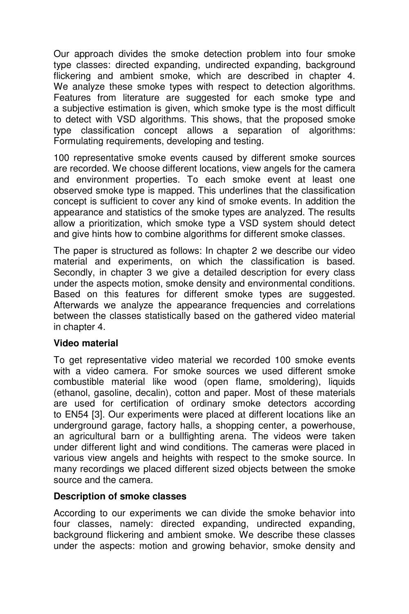Our approach divides the smoke detection problem into four smoke type classes: directed expanding, undirected expanding, background flickering and ambient smoke, which are described in chapter 4. We analyze these smoke types with respect to detection algorithms. Features from literature are suggested for each smoke type and a subjective estimation is given, which smoke type is the most difficult to detect with VSD algorithms. This shows, that the proposed smoke type classification concept allows a separation of algorithms: Formulating requirements, developing and testing.

100 representative smoke events caused by different smoke sources are recorded. We choose different locations, view angels for the camera and environment properties. To each smoke event at least one observed smoke type is mapped. This underlines that the classification concept is sufficient to cover any kind of smoke events. In addition the appearance and statistics of the smoke types are analyzed. The results allow a prioritization, which smoke type a VSD system should detect and give hints how to combine algorithms for different smoke classes.

The paper is structured as follows: In chapter 2 we describe our video material and experiments, on which the classification is based. Secondly, in chapter 3 we give a detailed description for every class under the aspects motion, smoke density and environmental conditions. Based on this features for different smoke types are suggested. Afterwards we analyze the appearance frequencies and correlations between the classes statistically based on the gathered video material in chapter 4.

# **Video material**

To get representative video material we recorded 100 smoke events with a video camera. For smoke sources we used different smoke combustible material like wood (open flame, smoldering), liquids (ethanol, gasoline, decalin), cotton and paper. Most of these materials are used for certification of ordinary smoke detectors according to EN54 [3]. Our experiments were placed at different locations like an underground garage, factory halls, a shopping center, a powerhouse, an agricultural barn or a bullfighting arena. The videos were taken under different light and wind conditions. The cameras were placed in various view angels and heights with respect to the smoke source. In many recordings we placed different sized objects between the smoke source and the camera.

#### **Description of smoke classes**

According to our experiments we can divide the smoke behavior into four classes, namely: directed expanding, undirected expanding, background flickering and ambient smoke. We describe these classes under the aspects: motion and growing behavior, smoke density and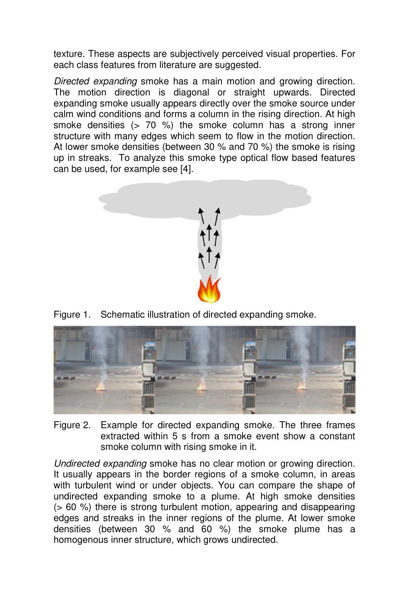texture. These aspects are subjectively perceived visual properties. For each class features from literature are suggested.

Directed expanding smoke has a main motion and growing direction. The motion direction is diagonal or straight upwards. Directed expanding smoke usually appears directly over the smoke source under calm wind conditions and forms a column in the rising direction. At high smoke densities (> 70 %) the smoke column has a strong inner structure with many edges which seem to flow in the motion direction. At lower smoke densities (between 30 % and 70 %) the smoke is rising up in streaks. To analyze this smoke type optical flow based features can be used, for example see [4].



Figure 1. Schematic illustration of directed expanding smoke.



Figure 2. Example for directed expanding smoke. The three frames extracted within 5 s from a smoke event show a constant smoke column with rising smoke in it.

Undirected expanding smoke has no clear motion or growing direction. It usually appears in the border regions of a smoke column, in areas with turbulent wind or under objects. You can compare the shape of undirected expanding smoke to a plume. At high smoke densities (> 60 %) there is strong turbulent motion, appearing and disappearing edges and streaks in the inner regions of the plume. At lower smoke densities (between 30 % and 60 %) the smoke plume has a homogenous inner structure, which grows undirected.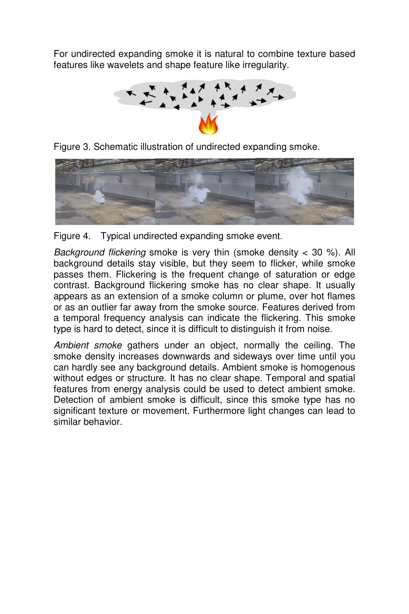For undirected expanding smoke it is natural to combine texture based features like wavelets and shape feature like irregularity.



Figure 3. Schematic illustration of undirected expanding smoke.



Figure 4. Typical undirected expanding smoke event.

Background flickering smoke is very thin (smoke density  $<$  30 %). All background details stay visible, but they seem to flicker, while smoke passes them. Flickering is the frequent change of saturation or edge contrast. Background flickering smoke has no clear shape. It usually appears as an extension of a smoke column or plume, over hot flames or as an outlier far away from the smoke source. Features derived from a temporal frequency analysis can indicate the flickering. This smoke type is hard to detect, since it is difficult to distinguish it from noise.

Ambient smoke gathers under an object, normally the ceiling. The smoke density increases downwards and sideways over time until you can hardly see any background details. Ambient smoke is homogenous without edges or structure. It has no clear shape. Temporal and spatial features from energy analysis could be used to detect ambient smoke. Detection of ambient smoke is difficult, since this smoke type has no significant texture or movement. Furthermore light changes can lead to similar behavior.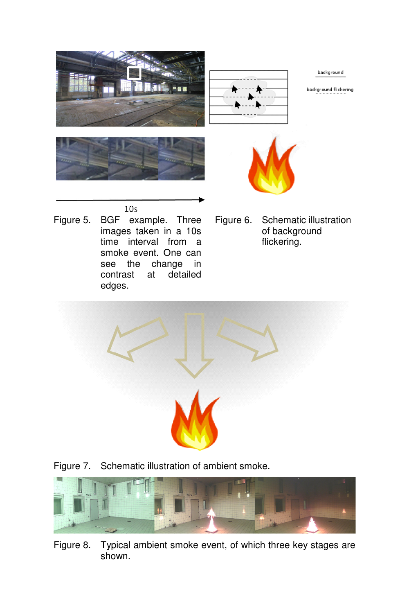

- Figure 5. BGF example. Three images taken in a 10s time interval from a smoke event. One can see the change in contrast at detailed edges.
- Figure 6. Schematic illustration of background flickering.



Figure 7. Schematic illustration of ambient smoke.



Figure 8. Typical ambient smoke event, of which three key stages are shown.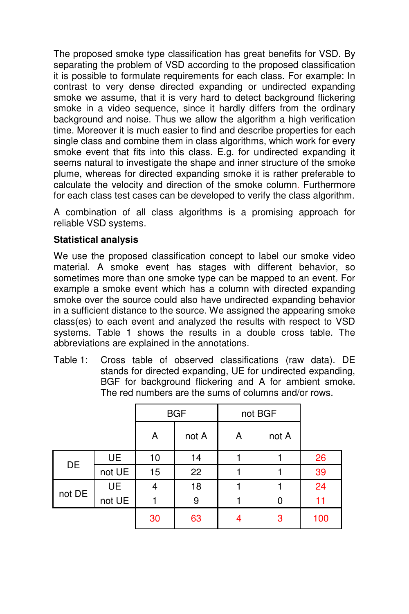The proposed smoke type classification has great benefits for VSD. By separating the problem of VSD according to the proposed classification it is possible to formulate requirements for each class. For example: In contrast to very dense directed expanding or undirected expanding smoke we assume, that it is very hard to detect background flickering smoke in a video sequence, since it hardly differs from the ordinary background and noise. Thus we allow the algorithm a high verification time. Moreover it is much easier to find and describe properties for each single class and combine them in class algorithms, which work for every smoke event that fits into this class. E.g. for undirected expanding it seems natural to investigate the shape and inner structure of the smoke plume, whereas for directed expanding smoke it is rather preferable to calculate the velocity and direction of the smoke column. Furthermore for each class test cases can be developed to verify the class algorithm.

A combination of all class algorithms is a promising approach for reliable VSD systems.

# **Statistical analysis**

We use the proposed classification concept to label our smoke video material. A smoke event has stages with different behavior, so sometimes more than one smoke type can be mapped to an event. For example a smoke event which has a column with directed expanding smoke over the source could also have undirected expanding behavior in a sufficient distance to the source. We assigned the appearing smoke class(es) to each event and analyzed the results with respect to VSD systems. Table 1 shows the results in a double cross table. The abbreviations are explained in the annotations.

Table 1: Cross table of observed classifications (raw data). DE stands for directed expanding, UE for undirected expanding, BGF for background flickering and A for ambient smoke. The red numbers are the sums of columns and/or rows.

|        |           | <b>BGF</b> |       | not BGF |       |     |
|--------|-----------|------------|-------|---------|-------|-----|
|        |           | А          | not A | A       | not A |     |
| DE     | <b>UE</b> | 10         | 14    |         |       | 26  |
|        | not UE    | 15         | 22    |         |       | 39  |
| not DE | <b>UE</b> | 4          | 18    |         |       | 24  |
|        | not UE    |            | 9     |         | 0     | 11  |
|        |           | 30         | 63    |         | 3     | 100 |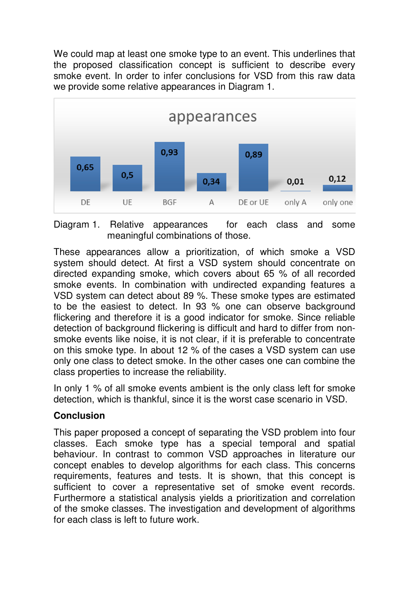We could map at least one smoke type to an event. This underlines that the proposed classification concept is sufficient to describe every smoke event. In order to infer conclusions for VSD from this raw data we provide some relative appearances in Diagram 1.



Diagram 1. Relative appearances for each class and some meaningful combinations of those.

These appearances allow a prioritization, of which smoke a VSD system should detect. At first a VSD system should concentrate on directed expanding smoke, which covers about 65 % of all recorded smoke events. In combination with undirected expanding features a VSD system can detect about 89 %. These smoke types are estimated to be the easiest to detect. In 93 % one can observe background flickering and therefore it is a good indicator for smoke. Since reliable detection of background flickering is difficult and hard to differ from nonsmoke events like noise, it is not clear, if it is preferable to concentrate on this smoke type. In about 12 % of the cases a VSD system can use only one class to detect smoke. In the other cases one can combine the class properties to increase the reliability.

In only 1 % of all smoke events ambient is the only class left for smoke detection, which is thankful, since it is the worst case scenario in VSD.

# **Conclusion**

This paper proposed a concept of separating the VSD problem into four classes. Each smoke type has a special temporal and spatial behaviour. In contrast to common VSD approaches in literature our concept enables to develop algorithms for each class. This concerns requirements, features and tests. It is shown, that this concept is sufficient to cover a representative set of smoke event records. Furthermore a statistical analysis yields a prioritization and correlation of the smoke classes. The investigation and development of algorithms for each class is left to future work.